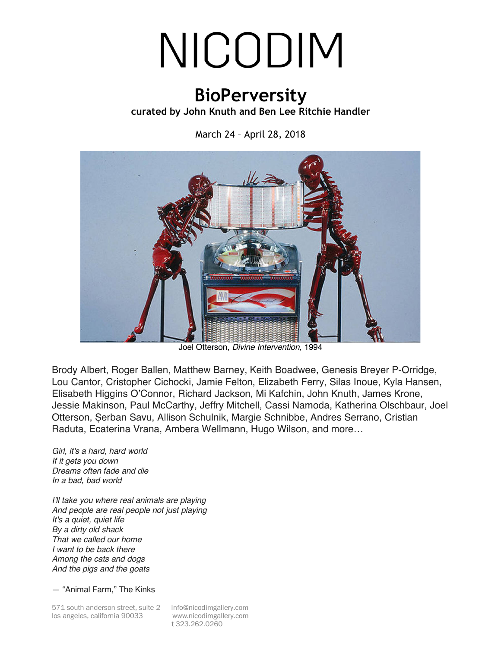## NICODIM

## **BioPerversity**

## **curated by John Knuth and Ben Lee Ritchie Handler**

March 24 – April 28, 2018



Joel Otterson, *Divine Intervention*, 1994

Brody Albert, Roger Ballen, Matthew Barney, Keith Boadwee, Genesis Breyer P-Orridge, Lou Cantor, Cristopher Cichocki, Jamie Felton, Elizabeth Ferry, Silas Inoue, Kyla Hansen, Elisabeth Higgins O'Connor, Richard Jackson, Mi Kafchin, John Knuth, James Krone, Jessie Makinson, Paul McCarthy, Jeffry Mitchell, Cassi Namoda, Katherina Olschbaur, Joel Otterson, Șerban Savu, Allison Schulnik, Margie Schnibbe, Andres Serrano, Cristian Raduta, Ecaterina Vrana, Ambera Wellmann, Hugo Wilson, and more…

*Girl, it's a hard, hard world If it gets you down Dreams often fade and die In a bad, bad world*

*I'll take you where real animals are playing And people are real people not just playing It's a quiet, quiet life By a dirty old shack That we called our home I want to be back there Among the cats and dogs And the pigs and the goats*

— "Animal Farm," The Kinks

571 south anderson street, suite 2 Info@nicodimgallery.com los angeles, california 90033 www.nicodimgallery.com

t 323.262.0260